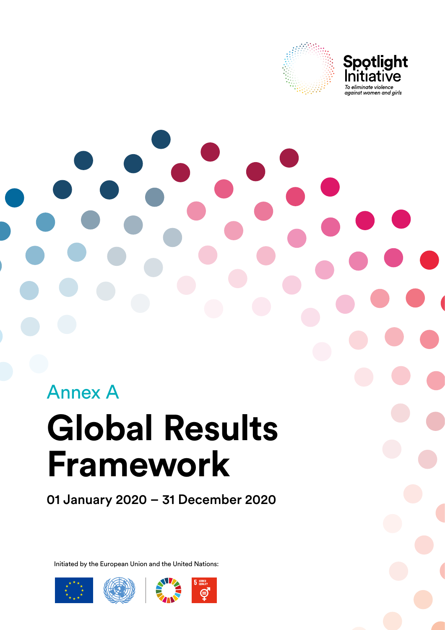

**Spotlight**<br>Initiative To eliminate violence against women and girls

# **Global Results Framework** Annex A

01 January 2020 – 31 December 2020

Initiated by the European Union and the United Nations:





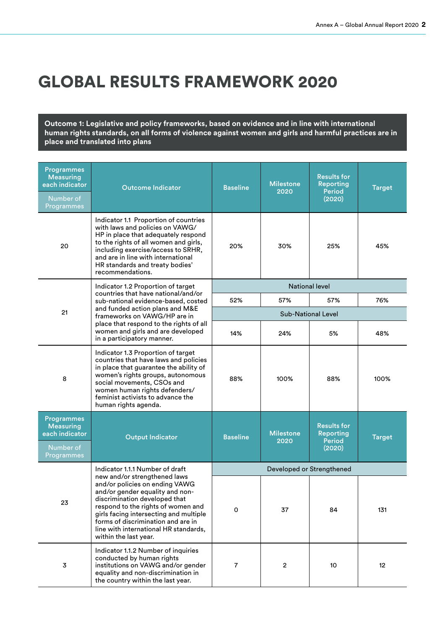## GLOBAL RESULTS FRAMEWORK 2020

**Outcome 1: Legislative and policy frameworks, based on evidence and in line with international human rights standards, on all forms of violence against women and girls and harmful practices are in place and translated into plans**

| <b>Programmes</b><br><b>Measuring</b><br>each indicator<br>Number of<br>Programmes | <b>Outcome Indicator</b>                                                                                                                                                                                                                                                                                                   | <b>Baseline</b> | <b>Milestone</b><br>2020 | <b>Results for</b><br><b>Reporting</b><br><b>Period</b><br>(2020) | <b>Target</b> |
|------------------------------------------------------------------------------------|----------------------------------------------------------------------------------------------------------------------------------------------------------------------------------------------------------------------------------------------------------------------------------------------------------------------------|-----------------|--------------------------|-------------------------------------------------------------------|---------------|
| 20                                                                                 | Indicator 1.1 Proportion of countries<br>with laws and policies on VAWG/<br>HP in place that adequately respond<br>to the rights of all women and girls,<br>including exercise/access to SRHR,<br>and are in line with international<br>HR standards and treaty bodies'<br>recommendations.                                | 20%             | 30%                      | 25%                                                               | 45%           |
|                                                                                    | Indicator 1.2 Proportion of target<br>countries that have national/and/or                                                                                                                                                                                                                                                  |                 | <b>National level</b>    |                                                                   |               |
|                                                                                    | sub-national evidence-based, costed                                                                                                                                                                                                                                                                                        | 52%             | 57%                      | 57%                                                               | 76%           |
| 21                                                                                 | and funded action plans and M&E<br>frameworks on VAWG/HP are in                                                                                                                                                                                                                                                            |                 |                          | <b>Sub-National Level</b>                                         |               |
|                                                                                    | place that respond to the rights of all<br>women and girls and are developed<br>in a participatory manner.                                                                                                                                                                                                                 | 14%             | 24%                      | 5%                                                                | 48%           |
| 8                                                                                  | Indicator 1.3 Proportion of target<br>countries that have laws and policies<br>in place that guarantee the ability of<br>women's rights groups, autonomous<br>social movements, CSOs and<br>women human rights defenders/<br>feminist activists to advance the<br>human rights agenda.                                     | 88%             | 100%                     | 88%                                                               | 100%          |
| <b>Programmes</b><br><b>Measuring</b><br>each indicator<br>Number of<br>Programmes | <b>Output Indicator</b>                                                                                                                                                                                                                                                                                                    | <b>Baseline</b> | <b>Milestone</b><br>2020 | <b>Results for</b><br><b>Reporting</b><br><b>Period</b><br>(2020) | <b>Target</b> |
|                                                                                    | Indicator 1.1.1 Number of draft                                                                                                                                                                                                                                                                                            |                 |                          | Developed or Strengthened                                         |               |
| 23                                                                                 | new and/or strengthened laws<br>and/or policies on ending VAWG<br>and/or gender equality and non-<br>discrimination developed that<br>respond to the rights of women and<br>girls facing intersecting and multiple<br>forms of discrimination and are in<br>line with international HR standards,<br>within the last year. | 0               | 37                       | 84                                                                | 131           |
| $\mathbf 3$                                                                        | Indicator 1.1.2 Number of inquiries<br>conducted by human rights<br>institutions on VAWG and/or gender<br>equality and non-discrimination in<br>the country within the last year.                                                                                                                                          | 7               | $\overline{\mathbf{c}}$  | 10                                                                | 12            |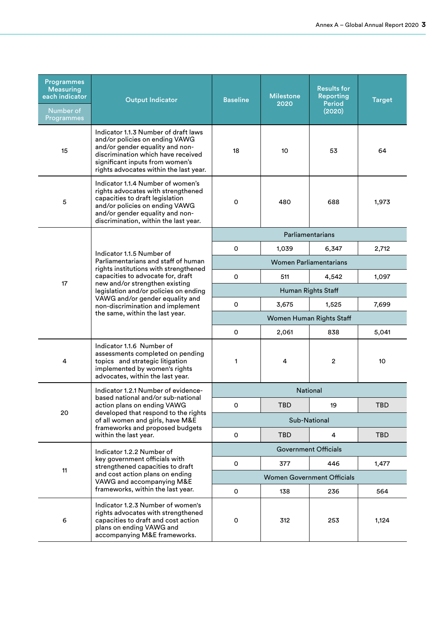| <b>Programmes</b><br><b>Measuring</b><br>each indicator<br>Number of<br>Programmes | <b>Output Indicator</b>                                                                                                                                                                                                                                                                                | <b>Baseline</b>               | <b>Milestone</b><br>2020    | <b>Results for</b><br>Reporting<br><b>Period</b><br>(2020) | <b>Target</b> |  |
|------------------------------------------------------------------------------------|--------------------------------------------------------------------------------------------------------------------------------------------------------------------------------------------------------------------------------------------------------------------------------------------------------|-------------------------------|-----------------------------|------------------------------------------------------------|---------------|--|
| 15                                                                                 | Indicator 1.1.3 Number of draft laws<br>and/or policies on ending VAWG<br>and/or gender equality and non-<br>discrimination which have received<br>significant inputs from women's<br>rights advocates within the last year.                                                                           | 18                            | 10                          | 53                                                         | 64            |  |
| 5                                                                                  | Indicator 1.1.4 Number of women's<br>rights advocates with strengthened<br>capacities to draft legislation<br>and/or policies on ending VAWG<br>and/or gender equality and non-<br>discrimination, within the last year.                                                                               | O                             | 480                         | 688                                                        | 1,973         |  |
|                                                                                    |                                                                                                                                                                                                                                                                                                        |                               |                             | Parliamentarians                                           |               |  |
|                                                                                    | Indicator 1.1.5 Number of                                                                                                                                                                                                                                                                              | 0                             | 1,039                       | 6,347                                                      | 2,712         |  |
|                                                                                    | Parliamentarians and staff of human<br>rights institutions with strengthened<br>capacities to advocate for, draft<br>new and/or strengthen existing<br>legislation and/or policies on ending<br>VAWG and/or gender equality and<br>non-discrimination and implement<br>the same, within the last year. | <b>Women Parliamentarians</b> |                             |                                                            |               |  |
| 17                                                                                 |                                                                                                                                                                                                                                                                                                        | 0                             | 511                         | 4,542                                                      | 1,097         |  |
|                                                                                    |                                                                                                                                                                                                                                                                                                        |                               |                             | Human Rights Staff                                         |               |  |
|                                                                                    |                                                                                                                                                                                                                                                                                                        | 0                             | 3,675                       | 1,525                                                      | 7,699         |  |
|                                                                                    |                                                                                                                                                                                                                                                                                                        |                               |                             | Women Human Rights Staff                                   |               |  |
|                                                                                    |                                                                                                                                                                                                                                                                                                        | 0                             | 2,061                       | 838                                                        | 5,041         |  |
| 4                                                                                  | Indicator 1.1.6 Number of<br>assessments completed on pending<br>topics and strategic litigation<br>implemented by women's rights<br>advocates, within the last year.                                                                                                                                  | 1                             | 4                           | $\mathbf{2}$                                               | 10            |  |
|                                                                                    | Indicator 1.2.1 Number of evidence-                                                                                                                                                                                                                                                                    |                               | <b>National</b>             |                                                            |               |  |
|                                                                                    | based national and/or sub-national<br>action plans on ending VAWG                                                                                                                                                                                                                                      | 0                             | TBD                         | 19                                                         | TBD           |  |
| 20                                                                                 | developed that respond to the rights<br>of all women and girls, have M&E                                                                                                                                                                                                                               | Sub-National                  |                             |                                                            |               |  |
|                                                                                    | frameworks and proposed budgets<br>within the last year.                                                                                                                                                                                                                                               | 0                             | <b>TBD</b>                  | 4                                                          | <b>TBD</b>    |  |
|                                                                                    | Indicator 1.2.2 Number of                                                                                                                                                                                                                                                                              |                               | <b>Government Officials</b> |                                                            |               |  |
| 11                                                                                 | key government officials with<br>strengthened capacities to draft                                                                                                                                                                                                                                      | 0                             | 377                         | 446                                                        | 1,477         |  |
|                                                                                    | and cost action plans on ending<br>VAWG and accompanying M&E                                                                                                                                                                                                                                           |                               |                             | <b>Women Government Officials</b>                          |               |  |
|                                                                                    | frameworks, within the last year.                                                                                                                                                                                                                                                                      | 0                             | 138                         | 236                                                        | 564           |  |
| 6                                                                                  | Indicator 1.2.3 Number of women's<br>rights advocates with strengthened<br>capacities to draft and cost action<br>plans on ending VAWG and<br>accompanying M&E frameworks.                                                                                                                             | 0                             | 312                         | 253                                                        | 1,124         |  |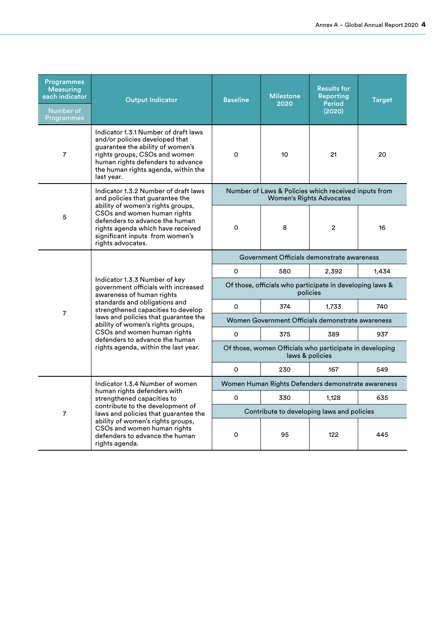| <b>Programmes</b><br><b>Measuring</b><br>each indicator<br>Number of<br>Programmes | <b>Output Indicator</b>                                                                                                                                                                                                               | <b>Baseline</b>                                                            | <b>Milestone</b><br>2020                                                                | <b>Results for</b><br><b>Reporting</b><br><b>Period</b><br>(2020) | <b>Target</b> |  |
|------------------------------------------------------------------------------------|---------------------------------------------------------------------------------------------------------------------------------------------------------------------------------------------------------------------------------------|----------------------------------------------------------------------------|-----------------------------------------------------------------------------------------|-------------------------------------------------------------------|---------------|--|
| $\overline{7}$                                                                     | Indicator 1.3.1 Number of draft laws<br>and/or policies developed that<br>guarantee the ability of women's<br>rights groups, CSOs and women<br>human rights defenders to advance<br>the human rights agenda, within the<br>last year. | O                                                                          | 10                                                                                      | 21                                                                | 20            |  |
|                                                                                    | Indicator 1.3.2 Number of draft laws<br>and policies that guarantee the                                                                                                                                                               |                                                                            | Number of Laws & Policies which received inputs from<br><b>Women's Rights Advocates</b> |                                                                   |               |  |
| 5                                                                                  | ability of women's rights groups,<br>CSOs and women human rights<br>defenders to advance the human<br>rights agenda which have received<br>significant inputs from women's<br>rights advocates.                                       | $\Omega$                                                                   | 8                                                                                       | $\overline{2}$                                                    | 16            |  |
|                                                                                    | Indicator 1.3.3 Number of key<br>government officials with increased<br>awareness of human rights<br>standards and obligations and<br>strengthened capacities to develop                                                              | Government Officials demonstrate awareness                                 |                                                                                         |                                                                   |               |  |
|                                                                                    |                                                                                                                                                                                                                                       | 0                                                                          | 580                                                                                     | 2,392                                                             | 1,434         |  |
|                                                                                    |                                                                                                                                                                                                                                       | Of those, officials who participate in developing laws &<br>policies       |                                                                                         |                                                                   |               |  |
|                                                                                    |                                                                                                                                                                                                                                       | $\Omega$                                                                   | 374                                                                                     | 1,733                                                             | 740           |  |
| $\overline{7}$                                                                     | laws and policies that guarantee the<br>ability of women's rights groups,                                                                                                                                                             | Women Government Officials demonstrate awareness                           |                                                                                         |                                                                   |               |  |
|                                                                                    | CSOs and women human rights<br>defenders to advance the human                                                                                                                                                                         | 0                                                                          | 375                                                                                     | 389                                                               | 937           |  |
|                                                                                    | rights agenda, within the last year.                                                                                                                                                                                                  | Of those, women Officials who participate in developing<br>laws & policies |                                                                                         |                                                                   |               |  |
|                                                                                    |                                                                                                                                                                                                                                       | O                                                                          | 230                                                                                     | 167                                                               | 549           |  |
|                                                                                    | Indicator 1.3.4 Number of women<br>human rights defenders with                                                                                                                                                                        |                                                                            | Women Human Rights Defenders demonstrate awareness                                      |                                                                   |               |  |
|                                                                                    | strengthened capacities to                                                                                                                                                                                                            | 0                                                                          | 330                                                                                     | 1,128                                                             | 635           |  |
| $\overline{7}$                                                                     | contribute to the development of<br>laws and policies that guarantee the                                                                                                                                                              |                                                                            | Contribute to developing laws and policies                                              |                                                                   |               |  |
|                                                                                    | ability of women's rights groups,<br>CSOs and women human rights<br>defenders to advance the human<br>rights agenda.                                                                                                                  | 0                                                                          | 95                                                                                      | 122                                                               | 445           |  |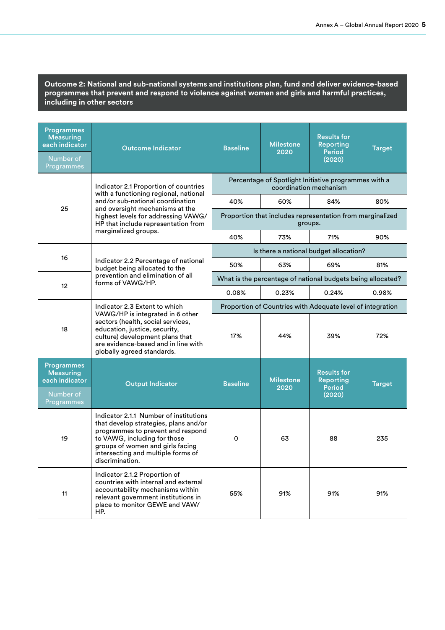**Outcome 2: National and sub-national systems and institutions plan, fund and deliver evidence-based programmes that prevent and respond to violence against women and girls and harmful practices, including in other sectors**

| <b>Programmes</b><br><b>Measuring</b><br>each indicator<br>Number of<br>Programmes | <b>Outcome Indicator</b>                                                                                                                                                                                                                              | <b>Baseline</b>                                            | <b>Milestone</b><br>2020 | <b>Results for</b><br><b>Reporting</b><br><b>Period</b><br>(2020)              | <b>Target</b> |  |
|------------------------------------------------------------------------------------|-------------------------------------------------------------------------------------------------------------------------------------------------------------------------------------------------------------------------------------------------------|------------------------------------------------------------|--------------------------|--------------------------------------------------------------------------------|---------------|--|
|                                                                                    | Indicator 2.1 Proportion of countries                                                                                                                                                                                                                 |                                                            |                          | Percentage of Spotlight Initiative programmes with a<br>coordination mechanism |               |  |
|                                                                                    | with a functioning regional, national<br>and/or sub-national coordination                                                                                                                                                                             | 40%                                                        | 60%                      | 84%                                                                            | 80%           |  |
| 25                                                                                 | and oversight mechanisms at the<br>highest levels for addressing VAWG/<br>HP that include representation from                                                                                                                                         |                                                            |                          | Proportion that includes representation from marginalized<br>groups.           |               |  |
|                                                                                    | marginalized groups.                                                                                                                                                                                                                                  | 40%                                                        | 73%                      | 71%                                                                            | 90%           |  |
| 16                                                                                 |                                                                                                                                                                                                                                                       |                                                            |                          | Is there a national budget allocation?                                         |               |  |
|                                                                                    | Indicator 2.2 Percentage of national<br>budget being allocated to the                                                                                                                                                                                 | 50%                                                        | 63%                      | 69%                                                                            | 81%           |  |
| 12                                                                                 | prevention and elimination of all<br>forms of VAWG/HP.                                                                                                                                                                                                |                                                            |                          | What is the percentage of national budgets being allocated?                    |               |  |
|                                                                                    |                                                                                                                                                                                                                                                       | 0.08%                                                      | 0.23%                    | 0.24%                                                                          | 0.98%         |  |
|                                                                                    | Indicator 2.3 Extent to which<br>VAWG/HP is integrated in 6 other<br>sectors (health, social services,<br>18<br>education, justice, security,<br>culture) development plans that<br>are evidence-based and in line with<br>globally agreed standards. | Proportion of Countries with Adequate level of integration |                          |                                                                                |               |  |
|                                                                                    |                                                                                                                                                                                                                                                       | 17%                                                        | 44%                      | 39%                                                                            | 72%           |  |
| <b>Programmes</b><br><b>Measuring</b><br>each indicator<br>Number of<br>Programmes | <b>Output Indicator</b>                                                                                                                                                                                                                               | <b>Baseline</b>                                            | <b>Milestone</b><br>2020 | <b>Results for</b><br><b>Reporting</b><br><b>Period</b><br>(2020)              | <b>Target</b> |  |
| 19                                                                                 | Indicator 2.1.1 Number of institutions<br>that develop strategies, plans and/or<br>programmes to prevent and respond<br>to VAWG, including for those<br>groups of women and girls facing<br>intersecting and multiple forms of<br>discrimination.     | O                                                          | 63                       | 88                                                                             | 235           |  |
| 11                                                                                 | Indicator 2.1.2 Proportion of<br>countries with internal and external<br>accountability mechanisms within<br>relevant government institutions in<br>place to monitor GEWE and VAW/<br>HP.                                                             | 55%                                                        | 91%                      | 91%                                                                            | 91%           |  |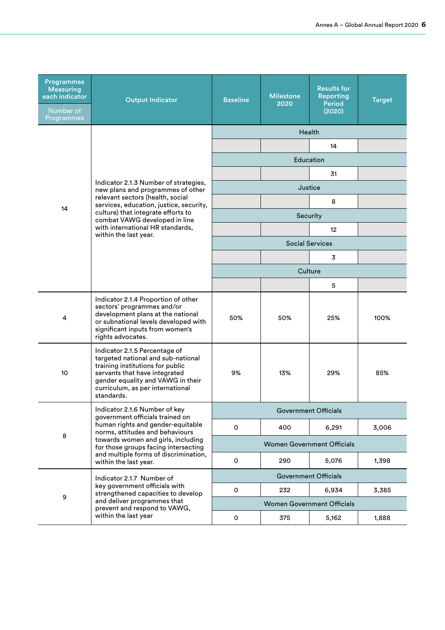| <b>Programmes</b><br><b>Measuring</b><br>each indicator<br>Number of<br>Programmes | <b>Output Indicator</b>                                                                                                                                                                                                         | <b>Baseline</b> | <b>Milestone</b><br>2020 | <b>Results for</b><br><b>Reporting</b><br><b>Period</b><br>(2020) | <b>Target</b> |  |
|------------------------------------------------------------------------------------|---------------------------------------------------------------------------------------------------------------------------------------------------------------------------------------------------------------------------------|-----------------|--------------------------|-------------------------------------------------------------------|---------------|--|
|                                                                                    |                                                                                                                                                                                                                                 |                 |                          | Health                                                            |               |  |
|                                                                                    |                                                                                                                                                                                                                                 |                 |                          | 14                                                                |               |  |
|                                                                                    |                                                                                                                                                                                                                                 |                 |                          | Education                                                         |               |  |
|                                                                                    | Indicator 2.1.3 Number of strategies,                                                                                                                                                                                           |                 |                          | 31                                                                |               |  |
|                                                                                    | new plans and programmes of other<br>relevant sectors (health, social                                                                                                                                                           |                 |                          | Justice                                                           |               |  |
| 14                                                                                 | services, education, justice, security,<br>culture) that integrate efforts to                                                                                                                                                   |                 |                          | 8                                                                 |               |  |
|                                                                                    | combat VAWG developed in line<br>with international HR standards,                                                                                                                                                               |                 |                          | Security                                                          |               |  |
|                                                                                    | within the last year.                                                                                                                                                                                                           |                 |                          | 12                                                                |               |  |
|                                                                                    |                                                                                                                                                                                                                                 |                 |                          | <b>Social Services</b>                                            |               |  |
|                                                                                    |                                                                                                                                                                                                                                 | 3<br>Culture    |                          |                                                                   |               |  |
|                                                                                    |                                                                                                                                                                                                                                 |                 |                          | 5                                                                 |               |  |
| 4                                                                                  | Indicator 2.1.4 Proportion of other<br>sectors' programmes and/or<br>development plans at the national<br>or subnational levels developed with<br>significant inputs from women's<br>rights advocates.                          | 50%             | 50%                      | 25%                                                               | 100%          |  |
| 10                                                                                 | Indicator 2.1.5 Percentage of<br>targeted national and sub-national<br>training institutions for public<br>servants that have integrated<br>gender equality and VAWG in their<br>curriculum, as per international<br>standards. | 9%              | 13%                      | 29%                                                               | 85%           |  |
|                                                                                    | Indicator 2.1.6 Number of key                                                                                                                                                                                                   |                 |                          | <b>Government Officials</b>                                       |               |  |
|                                                                                    | government officials trained on<br>human rights and gender-equitable<br>norms, attitudes and behaviours                                                                                                                         | 0               | 400                      | 6,291                                                             | 3,006         |  |
| 8                                                                                  | towards women and girls, including<br>for those groups facing intersecting                                                                                                                                                      |                 |                          | <b>Women Government Officials</b>                                 |               |  |
|                                                                                    | and multiple forms of discrimination,<br>within the last year.                                                                                                                                                                  | 0               | 290                      | 5,076                                                             | 1,398         |  |
|                                                                                    | Indicator 2.1.7 Number of                                                                                                                                                                                                       |                 |                          | <b>Government Officials</b>                                       |               |  |
| 9                                                                                  | key government officials with<br>strengthened capacities to develop                                                                                                                                                             | 0               | 232                      | 6,934                                                             | 3,385         |  |
|                                                                                    | and deliver programmes that<br>prevent and respond to VAWG,                                                                                                                                                                     |                 |                          | <b>Women Government Officials</b>                                 |               |  |
|                                                                                    | within the last year                                                                                                                                                                                                            | 0               | 375                      | 5,162                                                             | 1,888         |  |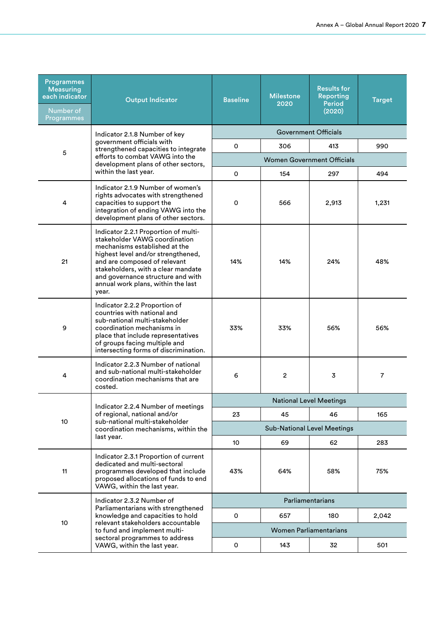| <b>Programmes</b><br><b>Measuring</b><br>each indicator<br>Number of<br>Programmes | <b>Output Indicator</b>                                                                                                                                                                                                                                                                                | <b>Baseline</b>             | <b>Milestone</b><br>2020           | <b>Results for</b><br><b>Reporting</b><br><b>Period</b><br>(2020) | <b>Target</b>  |  |
|------------------------------------------------------------------------------------|--------------------------------------------------------------------------------------------------------------------------------------------------------------------------------------------------------------------------------------------------------------------------------------------------------|-----------------------------|------------------------------------|-------------------------------------------------------------------|----------------|--|
|                                                                                    | Indicator 2.1.8 Number of key                                                                                                                                                                                                                                                                          | <b>Government Officials</b> |                                    |                                                                   |                |  |
| 5                                                                                  | government officials with<br>strengthened capacities to integrate                                                                                                                                                                                                                                      | 0                           | 306                                | 413                                                               | 990            |  |
|                                                                                    | efforts to combat VAWG into the<br>development plans of other sectors,                                                                                                                                                                                                                                 |                             |                                    | <b>Women Government Officials</b>                                 |                |  |
|                                                                                    | within the last year.                                                                                                                                                                                                                                                                                  | 0                           | 154                                | 297                                                               | 494            |  |
| 4                                                                                  | Indicator 2.1.9 Number of women's<br>rights advocates with strengthened<br>capacities to support the<br>integration of ending VAWG into the<br>development plans of other sectors.                                                                                                                     | 0                           | 566                                | 2,913                                                             | 1,231          |  |
| 21                                                                                 | Indicator 2.2.1 Proportion of multi-<br>stakeholder VAWG coordination<br>mechanisms established at the<br>highest level and/or strengthened,<br>and are composed of relevant<br>stakeholders, with a clear mandate<br>and governance structure and with<br>annual work plans, within the last<br>year. | 14%                         | 14%                                | 24%                                                               | 48%            |  |
| 9                                                                                  | Indicator 2.2.2 Proportion of<br>countries with national and<br>sub-national multi-stakeholder<br>coordination mechanisms in<br>place that include representatives<br>of groups facing multiple and<br>intersecting forms of discrimination.                                                           | 33%                         | 33%                                | 56%                                                               | 56%            |  |
| 4                                                                                  | Indicator 2.2.3 Number of national<br>and sub-national multi-stakeholder<br>coordination mechanisms that are<br>costed.                                                                                                                                                                                | 6                           | 2                                  | 3                                                                 | $\overline{7}$ |  |
|                                                                                    | Indicator 2.2.4 Number of meetings                                                                                                                                                                                                                                                                     |                             |                                    | <b>National Level Meetings</b>                                    |                |  |
| 10                                                                                 | of regional, national and/or<br>sub-national multi-stakeholder                                                                                                                                                                                                                                         | 23                          | 45                                 | 46                                                                | 165            |  |
|                                                                                    | coordination mechanisms, within the                                                                                                                                                                                                                                                                    |                             | <b>Sub-National Level Meetings</b> |                                                                   |                |  |
|                                                                                    | last year.                                                                                                                                                                                                                                                                                             | 10                          | 69                                 | 62                                                                | 283            |  |
| 11                                                                                 | Indicator 2.3.1 Proportion of current<br>dedicated and multi-sectoral<br>programmes developed that include<br>proposed allocations of funds to end<br>VAWG, within the last year.                                                                                                                      | 43%                         | 64%                                | 58%                                                               | 75%            |  |
|                                                                                    | Indicator 2.3.2 Number of                                                                                                                                                                                                                                                                              |                             |                                    | Parliamentarians                                                  |                |  |
|                                                                                    | Parliamentarians with strengthened<br>knowledge and capacities to hold                                                                                                                                                                                                                                 | $\mathsf{O}\xspace$         | 657                                | 180                                                               | 2,042          |  |
| 10                                                                                 | relevant stakeholders accountable<br>to fund and implement multi-                                                                                                                                                                                                                                      |                             |                                    | <b>Women Parliamentarians</b>                                     |                |  |
|                                                                                    | sectoral programmes to address<br>VAWG, within the last year.                                                                                                                                                                                                                                          | 0                           | 143                                | 32                                                                | 501            |  |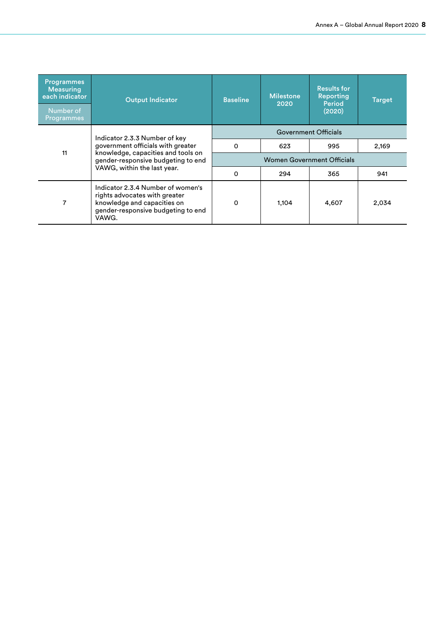| <b>Programmes</b><br><b>Measuring</b><br>each indicator<br>Number of<br>Programmes | <b>Output Indicator</b>                                                                                                                                                       | <b>Baseline</b>                   | <b>Milestone</b><br>2020 | <b>Results for</b><br><b>Reporting</b><br>Period<br>(2020) | Target |
|------------------------------------------------------------------------------------|-------------------------------------------------------------------------------------------------------------------------------------------------------------------------------|-----------------------------------|--------------------------|------------------------------------------------------------|--------|
|                                                                                    | Indicator 2.3.3 Number of key<br>government officials with greater<br>knowledge, capacities and tools on<br>gender-responsive budgeting to end<br>VAWG, within the last year. |                                   |                          | <b>Government Officials</b>                                |        |
| 11                                                                                 |                                                                                                                                                                               | 0                                 | 623                      | 995                                                        | 2,169  |
|                                                                                    |                                                                                                                                                                               | <b>Women Government Officials</b> |                          |                                                            |        |
|                                                                                    |                                                                                                                                                                               | 0                                 | 294                      | 365                                                        | 941    |
| 7                                                                                  | Indicator 2.3.4 Number of women's<br>rights advocates with greater<br>knowledge and capacities on<br>gender-responsive budgeting to end<br>VAWG.                              | $\Omega$                          | 1,104                    | 4,607                                                      | 2,034  |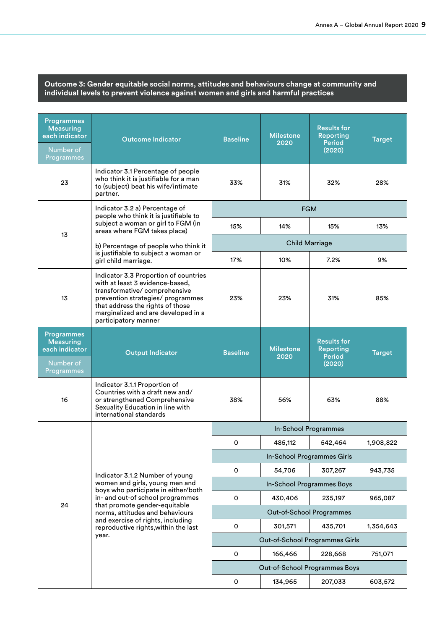#### **Outcome 3: Gender equitable social norms, attitudes and behaviours change at community and individual levels to prevent violence against women and girls and harmful practices**

| <b>Programmes</b><br><b>Measuring</b><br>each indicator<br>Number of<br>Programmes | <b>Outcome Indicator</b>                                                                                                                                                                                                                         | <b>Baseline</b> | <b>Milestone</b><br>2020                  | <b>Results for</b><br><b>Reporting</b><br>Period<br>(2020)        | <b>Target</b> |
|------------------------------------------------------------------------------------|--------------------------------------------------------------------------------------------------------------------------------------------------------------------------------------------------------------------------------------------------|-----------------|-------------------------------------------|-------------------------------------------------------------------|---------------|
| 23                                                                                 | Indicator 3.1 Percentage of people<br>who think it is justifiable for a man<br>to (subject) beat his wife/intimate<br>partner.                                                                                                                   | 33%             | 31%                                       | 32%                                                               | 28%           |
|                                                                                    | Indicator 3.2 a) Percentage of<br>people who think it is justifiable to                                                                                                                                                                          |                 | <b>FGM</b>                                |                                                                   |               |
|                                                                                    | subject a woman or girl to FGM (in<br>areas where FGM takes place)                                                                                                                                                                               | 15%             | 14%                                       | 15%                                                               | 13%           |
| 13                                                                                 | b) Percentage of people who think it                                                                                                                                                                                                             |                 | <b>Child Marriage</b>                     |                                                                   |               |
|                                                                                    | is justifiable to subject a woman or<br>girl child marriage.                                                                                                                                                                                     | 17%             | 10%                                       | 7.2%                                                              | 9%            |
| 13                                                                                 | Indicator 3.3 Proportion of countries<br>with at least 3 evidence-based,<br>transformative/comprehensive<br>prevention strategies/ programmes<br>that address the rights of those<br>marginalized and are developed in a<br>participatory manner | 23%             | 23%                                       | 31%                                                               | 85%           |
| <b>Programmes</b><br><b>Measuring</b><br>each indicator<br>Number of<br>Programmes | <b>Output Indicator</b>                                                                                                                                                                                                                          | <b>Baseline</b> | <b>Milestone</b><br>2020                  | <b>Results for</b><br><b>Reporting</b><br><b>Period</b><br>(2020) | <b>Target</b> |
| 16                                                                                 | Indicator 3.1.1 Proportion of<br>Countries with a draft new and/<br>or strengthened Comprehensive<br>Sexuality Education in line with<br>international standards                                                                                 | 38%             | 56%                                       | 63%                                                               | 88%           |
|                                                                                    |                                                                                                                                                                                                                                                  |                 | In-School Programmes                      |                                                                   |               |
|                                                                                    |                                                                                                                                                                                                                                                  | 0               | 485,112                                   | 542,464                                                           | 1,908,822     |
|                                                                                    |                                                                                                                                                                                                                                                  |                 | In-School Programmes Girls                |                                                                   |               |
|                                                                                    | Indicator 3.1.2 Number of young                                                                                                                                                                                                                  | $\mathsf{o}\,$  | 54,706                                    | 307,267                                                           | 943,735       |
|                                                                                    | women and girls, young men and<br>boys who participate in either/both                                                                                                                                                                            |                 |                                           | In-School Programmes Boys                                         |               |
| 24                                                                                 | in- and out-of school programmes<br>that promote gender-equitable                                                                                                                                                                                | 0               | 430,406                                   | 235,197                                                           | 965,087       |
|                                                                                    | norms, attitudes and behaviours<br>and exercise of rights, including                                                                                                                                                                             |                 | Out-of-School Programmes                  |                                                                   |               |
|                                                                                    | reproductive rights, within the last<br>year.                                                                                                                                                                                                    | 0               | 301,571                                   | 435,701                                                           | 1,354,643     |
|                                                                                    |                                                                                                                                                                                                                                                  | $\mathsf{o}$    | Out-of-School Programmes Girls<br>166,466 | 228,668                                                           | 751,071       |
|                                                                                    |                                                                                                                                                                                                                                                  |                 | Out-of-School Programmes Boys             |                                                                   |               |
|                                                                                    |                                                                                                                                                                                                                                                  | 0               | 134,965                                   | 207,033                                                           | 603,572       |
|                                                                                    |                                                                                                                                                                                                                                                  |                 |                                           |                                                                   |               |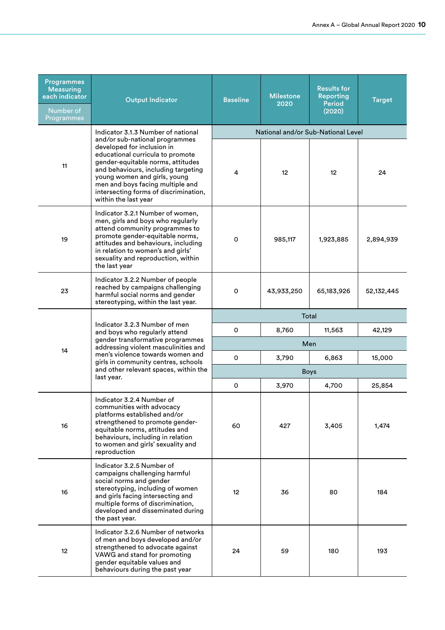| <b>Programmes</b><br><b>Measuring</b><br>each indicator<br>Number of<br>Programmes | <b>Output Indicator</b>                                                                                                                                                                                                                                                                                           | <b>Baseline</b> | <b>Milestone</b><br>2020 | <b>Results for</b><br><b>Reporting</b><br><b>Period</b><br>(2020) | <b>Target</b> |  |
|------------------------------------------------------------------------------------|-------------------------------------------------------------------------------------------------------------------------------------------------------------------------------------------------------------------------------------------------------------------------------------------------------------------|-----------------|--------------------------|-------------------------------------------------------------------|---------------|--|
|                                                                                    | Indicator 3.1.3 Number of national                                                                                                                                                                                                                                                                                |                 |                          | National and/or Sub-National Level                                |               |  |
| 11                                                                                 | and/or sub-national programmes<br>developed for inclusion in<br>educational curricula to promote<br>gender-equitable norms, attitudes<br>and behaviours, including targeting<br>young women and girls, young<br>men and boys facing multiple and<br>intersecting forms of discrimination,<br>within the last year | 4               | 12                       | 12                                                                | 24            |  |
| 19                                                                                 | Indicator 3.2.1 Number of women,<br>men, girls and boys who regularly<br>attend community programmes to<br>promote gender-equitable norms,<br>attitudes and behaviours, including<br>in relation to women's and girls'<br>sexuality and reproduction, within<br>the last year                                     | O               | 985,117                  | 1,923,885                                                         | 2,894,939     |  |
| 23                                                                                 | Indicator 3.2.2 Number of people<br>reached by campaigns challenging<br>harmful social norms and gender<br>stereotyping, within the last year.                                                                                                                                                                    | 0               | 43,933,250               | 65,183,926                                                        | 52,132,445    |  |
|                                                                                    | Indicator 3.2.3 Number of men<br>and boys who regularly attend<br>gender transformative programmes<br>addressing violent masculinities and<br>men's violence towards women and<br>girls in community centres, schools                                                                                             | Total           |                          |                                                                   |               |  |
|                                                                                    |                                                                                                                                                                                                                                                                                                                   | O               | 8,760                    | 11,563                                                            | 42,129        |  |
| 14                                                                                 |                                                                                                                                                                                                                                                                                                                   | Men             |                          |                                                                   |               |  |
|                                                                                    |                                                                                                                                                                                                                                                                                                                   | O               | 3,790                    | 6,863                                                             | 15,000        |  |
|                                                                                    | and other relevant spaces, within the<br>last year.                                                                                                                                                                                                                                                               | <b>Boys</b>     |                          |                                                                   |               |  |
|                                                                                    |                                                                                                                                                                                                                                                                                                                   | 0               | 3,970                    | 4,700                                                             | 25,854        |  |
| 16                                                                                 | Indicator 3.2.4 Number of<br>communities with advocacy<br>platforms established and/or<br>strengthened to promote gender-<br>equitable norms, attitudes and<br>behaviours, including in relation<br>to women and girls' sexuality and<br>reproduction                                                             | 60              | 427                      | 3,405                                                             | 1,474         |  |
| 16                                                                                 | Indicator 3.2.5 Number of<br>campaigns challenging harmful<br>social norms and gender<br>stereotyping, including of women<br>and girls facing intersecting and<br>multiple forms of discrimination,<br>developed and disseminated during<br>the past year.                                                        | 12              | 36                       | 80                                                                | 184           |  |
| 12                                                                                 | Indicator 3.2.6 Number of networks<br>of men and boys developed and/or<br>strengthened to advocate against<br>VAWG and stand for promoting<br>gender equitable values and<br>behaviours during the past year                                                                                                      | 24              | 59                       | 180                                                               | 193           |  |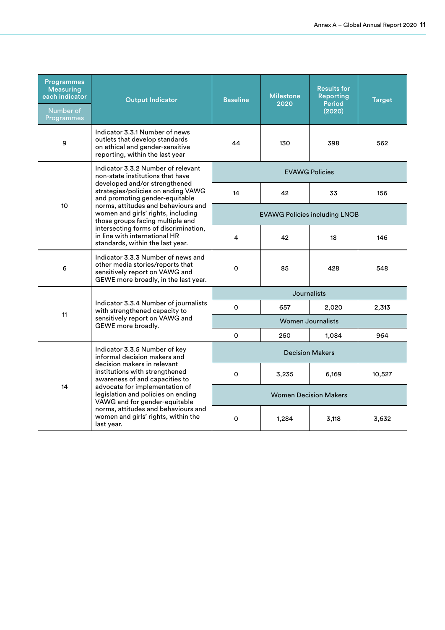| <b>Programmes</b><br><b>Measuring</b><br>each indicator<br>Number of<br>Programmes | <b>Output Indicator</b>                                                                                                                                                                                                     | <b>Baseline</b>   | <b>Milestone</b><br>2020             | <b>Results for</b><br>Reporting<br><b>Period</b><br>(2020) | <b>Target</b> |  |  |
|------------------------------------------------------------------------------------|-----------------------------------------------------------------------------------------------------------------------------------------------------------------------------------------------------------------------------|-------------------|--------------------------------------|------------------------------------------------------------|---------------|--|--|
| 9                                                                                  | Indicator 3.3.1 Number of news<br>outlets that develop standards<br>on ethical and gender-sensitive<br>reporting, within the last year                                                                                      | 44                | 130                                  | 398                                                        | 562           |  |  |
|                                                                                    | Indicator 3.3.2 Number of relevant<br>non-state institutions that have                                                                                                                                                      |                   |                                      | <b>EVAWG Policies</b>                                      |               |  |  |
|                                                                                    | developed and/or strengthened<br>strategies/policies on ending VAWG<br>and promoting gender-equitable                                                                                                                       | 14                | 42                                   | 33                                                         | 156           |  |  |
| 10                                                                                 | norms, attitudes and behaviours and<br>women and girls' rights, including<br>those groups facing multiple and<br>intersecting forms of discrimination,<br>in line with international HR<br>standards, within the last year. |                   | <b>EVAWG Policies including LNOB</b> |                                                            |               |  |  |
|                                                                                    |                                                                                                                                                                                                                             | 4                 | 42                                   | 18                                                         | 146           |  |  |
| 6                                                                                  | Indicator 3.3.3 Number of news and<br>other media stories/reports that<br>sensitively report on VAWG and<br>GEWE more broadly, in the last year.                                                                            | $\Omega$          | 85                                   | 428                                                        | 548           |  |  |
|                                                                                    |                                                                                                                                                                                                                             | Journalists       |                                      |                                                            |               |  |  |
| 11                                                                                 | Indicator 3.3.4 Number of journalists<br>with strengthened capacity to                                                                                                                                                      | 0                 | 657                                  | 2,020                                                      | 2,313         |  |  |
|                                                                                    | sensitively report on VAWG and<br>GEWE more broadly.                                                                                                                                                                        | Women Journalists |                                      |                                                            |               |  |  |
|                                                                                    |                                                                                                                                                                                                                             | $\Omega$          | 250                                  | 1.084                                                      | 964           |  |  |
|                                                                                    | Indicator 3.3.5 Number of key<br>informal decision makers and<br>decision makers in relevant                                                                                                                                |                   |                                      | <b>Decision Makers</b>                                     |               |  |  |
|                                                                                    | institutions with strengthened<br>awareness of and capacities to                                                                                                                                                            | 0                 | 3,235                                | 6,169                                                      | 10,527        |  |  |
| 14                                                                                 | advocate for implementation of<br>legislation and policies on ending<br>VAWG and for gender-equitable                                                                                                                       |                   |                                      | <b>Women Decision Makers</b>                               |               |  |  |
|                                                                                    | norms, attitudes and behaviours and<br>women and girls' rights, within the<br>last year.                                                                                                                                    | 0                 | 1,284                                | 3,118                                                      | 3,632         |  |  |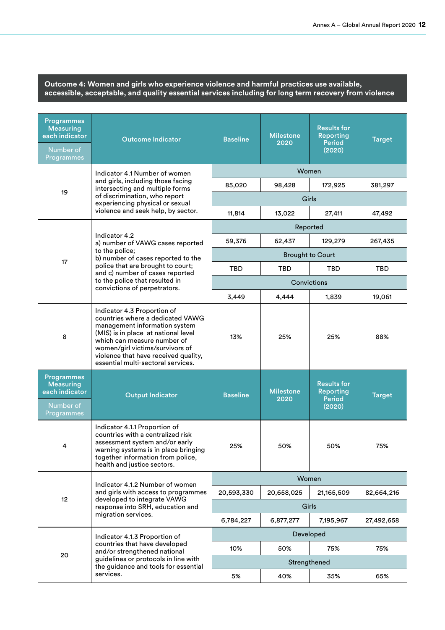#### **Outcome 4: Women and girls who experience violence and harmful practices use available, accessible, acceptable, and quality essential services including for long term recovery from violence**

| <b>Programmes</b><br><b>Measuring</b><br>each indicator<br>Number of<br>Programmes | <b>Outcome Indicator</b>                                                                                                                                                                                                                                                                | <b>Baseline</b> | <b>Milestone</b><br>2020 | <b>Results for</b><br><b>Reporting</b><br><b>Period</b><br>(2020) | <b>Target</b> |
|------------------------------------------------------------------------------------|-----------------------------------------------------------------------------------------------------------------------------------------------------------------------------------------------------------------------------------------------------------------------------------------|-----------------|--------------------------|-------------------------------------------------------------------|---------------|
|                                                                                    | Indicator 4.1 Number of women<br>and girls, including those facing<br>intersecting and multiple forms                                                                                                                                                                                   | Women           |                          |                                                                   |               |
|                                                                                    |                                                                                                                                                                                                                                                                                         | 85,020          | 98,428                   | 172,925                                                           | 381,297       |
| 19                                                                                 | of discrimination, who report<br>experiencing physical or sexual                                                                                                                                                                                                                        |                 | Girls                    |                                                                   |               |
|                                                                                    | violence and seek help, by sector.                                                                                                                                                                                                                                                      | 11,814          | 13,022                   | 27,411                                                            | 47,492        |
|                                                                                    | Reported                                                                                                                                                                                                                                                                                |                 |                          |                                                                   |               |
|                                                                                    | Indicator 4.2<br>a) number of VAWG cases reported                                                                                                                                                                                                                                       | 59,376          | 62,437                   | 129,279                                                           | 267,435       |
| 17                                                                                 | to the police;<br>b) number of cases reported to the                                                                                                                                                                                                                                    |                 | <b>Brought to Court</b>  |                                                                   |               |
|                                                                                    | police that are brought to court;<br>and c) number of cases reported                                                                                                                                                                                                                    | TBD             | <b>TBD</b>               | <b>TBD</b>                                                        | TBD           |
|                                                                                    | to the police that resulted in<br>convictions of perpetrators.                                                                                                                                                                                                                          |                 | Convictions              |                                                                   |               |
|                                                                                    |                                                                                                                                                                                                                                                                                         | 3,449           | 4,444                    | 1,839                                                             | 19,061        |
| 8                                                                                  | Indicator 4.3 Proportion of<br>countries where a dedicated VAWG<br>management information system<br>(MIS) is in place at national level<br>which can measure number of<br>women/girl victims/survivors of<br>violence that have received quality,<br>essential multi-sectoral services. | 13%             | 25%                      | 25%                                                               | 88%           |
| <b>Programmes</b><br><b>Measuring</b><br>each indicator<br>Number of<br>Programmes | <b>Output Indicator</b>                                                                                                                                                                                                                                                                 | <b>Baseline</b> | <b>Milestone</b><br>2020 | <b>Results for</b><br>Reporting<br><b>Period</b><br>(2020)        | <b>Target</b> |
|                                                                                    | Indicator 4.1.1 Proportion of<br>countries with a centralized risk<br>assessment system and/or early<br>warning systems is in place bringing<br>together information from police,<br>health and justice sectors.                                                                        | 25%             | 50%                      | 50%                                                               | 75%           |
|                                                                                    | Indicator 4.1.2 Number of women                                                                                                                                                                                                                                                         |                 | Women                    |                                                                   |               |
| 12                                                                                 | and girls with access to programmes<br>developed to integrate VAWG                                                                                                                                                                                                                      | 20,593,330      | 20,658,025               | 21,165,509                                                        | 82,664,216    |
|                                                                                    | response into SRH, education and<br>migration services.                                                                                                                                                                                                                                 |                 | Girls                    |                                                                   |               |
|                                                                                    |                                                                                                                                                                                                                                                                                         | 6,784,227       | 6,877,277                | 7,195,967                                                         | 27,492,658    |
|                                                                                    | Indicator 4.1.3 Proportion of                                                                                                                                                                                                                                                           |                 | Developed                |                                                                   |               |
| 20                                                                                 | countries that have developed<br>and/or strengthened national                                                                                                                                                                                                                           | 10%             | 50%                      | 75%                                                               | 75%           |
|                                                                                    | guidelines or protocols in line with<br>the guidance and tools for essential                                                                                                                                                                                                            |                 | Strengthened             |                                                                   |               |
|                                                                                    | services.                                                                                                                                                                                                                                                                               | 5%              | 40%                      | 35%                                                               | 65%           |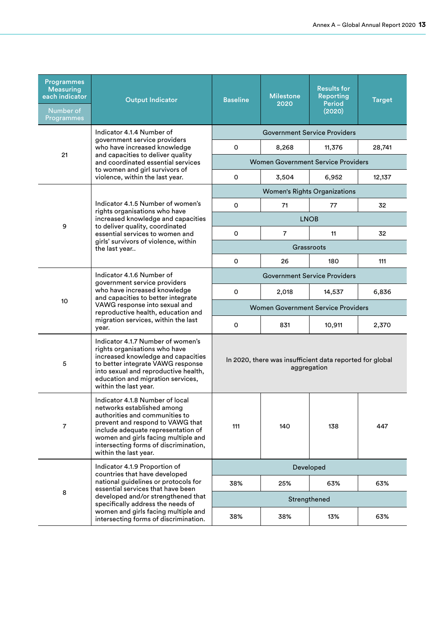| <b>Programmes</b><br><b>Measuring</b><br>each indicator<br>Number of<br>Programmes | <b>Output Indicator</b>                                                                                                                                                                                                                                                            | <b>Baseline</b>                                                         | <b>Milestone</b><br>2020                  | <b>Results for</b><br><b>Reporting</b><br><b>Period</b><br>(2020) | <b>Target</b> |  |
|------------------------------------------------------------------------------------|------------------------------------------------------------------------------------------------------------------------------------------------------------------------------------------------------------------------------------------------------------------------------------|-------------------------------------------------------------------------|-------------------------------------------|-------------------------------------------------------------------|---------------|--|
|                                                                                    | Indicator 4.1.4 Number of                                                                                                                                                                                                                                                          |                                                                         |                                           | <b>Government Service Providers</b>                               |               |  |
| 21                                                                                 | government service providers<br>who have increased knowledge                                                                                                                                                                                                                       | 0                                                                       | 8,268                                     | 11,376                                                            | 28,741        |  |
|                                                                                    | and capacities to deliver quality<br>and coordinated essential services                                                                                                                                                                                                            |                                                                         | <b>Women Government Service Providers</b> |                                                                   |               |  |
|                                                                                    | to women and girl survivors of<br>violence, within the last year.                                                                                                                                                                                                                  | 0                                                                       | 3,504                                     | 6,952                                                             | 12,137        |  |
|                                                                                    |                                                                                                                                                                                                                                                                                    |                                                                         | <b>Women's Rights Organizations</b>       |                                                                   |               |  |
|                                                                                    | Indicator 4.1.5 Number of women's<br>rights organisations who have                                                                                                                                                                                                                 | 0                                                                       | 71                                        | 77                                                                | 32            |  |
| 9                                                                                  | increased knowledge and capacities<br>to deliver quality, coordinated                                                                                                                                                                                                              |                                                                         |                                           | <b>LNOB</b>                                                       |               |  |
|                                                                                    | essential services to women and<br>girls' survivors of violence, within                                                                                                                                                                                                            | 0                                                                       | $\overline{7}$                            | 11                                                                | 32            |  |
|                                                                                    | the last year                                                                                                                                                                                                                                                                      |                                                                         |                                           | Grassroots                                                        |               |  |
|                                                                                    |                                                                                                                                                                                                                                                                                    | 0                                                                       | 26                                        | 180                                                               | 111           |  |
|                                                                                    | Indicator 4.1.6 Number of<br>government service providers<br>who have increased knowledge<br>and capacities to better integrate<br>VAWG response into sexual and<br>reproductive health, education and                                                                             | <b>Government Service Providers</b>                                     |                                           |                                                                   |               |  |
|                                                                                    |                                                                                                                                                                                                                                                                                    | 0                                                                       | 2,018                                     | 14,537                                                            | 6,836         |  |
| 10 <sup>10</sup>                                                                   |                                                                                                                                                                                                                                                                                    | <b>Women Government Service Providers</b>                               |                                           |                                                                   |               |  |
|                                                                                    | migration services, within the last<br>year.                                                                                                                                                                                                                                       | 0                                                                       | 831                                       | 10,911                                                            | 2,370         |  |
| 5                                                                                  | Indicator 4.1.7 Number of women's<br>rights organisations who have<br>increased knowledge and capacities<br>to better integrate VAWG response<br>into sexual and reproductive health,<br>education and migration services,<br>within the last year.                                | In 2020, there was insufficient data reported for global<br>aggregation |                                           |                                                                   |               |  |
| 7                                                                                  | Indicator 4.1.8 Number of local<br>networks established among<br>authorities and communities to<br>prevent and respond to VAWG that<br>include adequate representation of<br>women and girls facing multiple and<br>intersecting forms of discrimination,<br>within the last year. | 111                                                                     | 140                                       | 138                                                               | 447           |  |
|                                                                                    | Indicator 4.1.9 Proportion of<br>countries that have developed                                                                                                                                                                                                                     |                                                                         | Developed                                 |                                                                   |               |  |
|                                                                                    | national guidelines or protocols for<br>essential services that have been                                                                                                                                                                                                          | 38%                                                                     | 25%                                       | 63%                                                               | 63%           |  |
| 8                                                                                  | developed and/or strengthened that                                                                                                                                                                                                                                                 |                                                                         |                                           | Strengthened                                                      |               |  |
|                                                                                    | specifically address the needs of<br>women and girls facing multiple and<br>intersecting forms of discrimination.                                                                                                                                                                  | 38%                                                                     | 38%                                       | 13%                                                               | 63%           |  |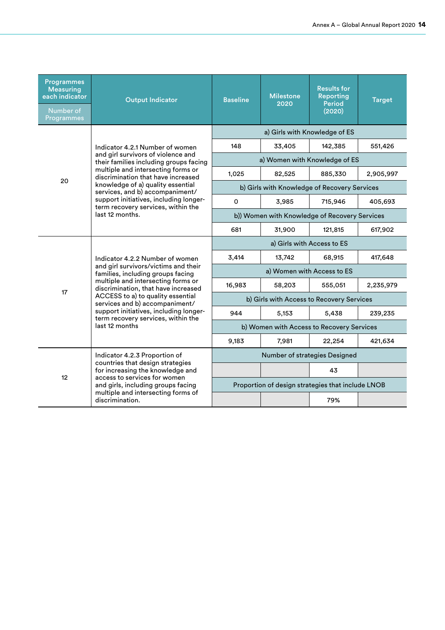| <b>Programmes</b><br><b>Measuring</b><br>each indicator<br>Number of<br>Programmes | <b>Output Indicator</b>                                                                                                                                                                                                                                                                                                                                            | <b>Baseline</b>                                   | <b>Milestone</b><br>2020 | <b>Results for</b><br>Reporting<br><b>Period</b><br>(2020) | <b>Target</b> |
|------------------------------------------------------------------------------------|--------------------------------------------------------------------------------------------------------------------------------------------------------------------------------------------------------------------------------------------------------------------------------------------------------------------------------------------------------------------|---------------------------------------------------|--------------------------|------------------------------------------------------------|---------------|
|                                                                                    |                                                                                                                                                                                                                                                                                                                                                                    | a) Girls with Knowledge of ES                     |                          |                                                            |               |
|                                                                                    | Indicator 4.2.1 Number of women                                                                                                                                                                                                                                                                                                                                    | 148                                               | 33,405                   | 142,385                                                    | 551,426       |
|                                                                                    | and girl survivors of violence and<br>their families including groups facing                                                                                                                                                                                                                                                                                       | a) Women with Knowledge of ES                     |                          |                                                            |               |
| 20                                                                                 | multiple and intersecting forms or<br>discrimination that have increased                                                                                                                                                                                                                                                                                           | 1,025                                             | 82,525                   | 885,330                                                    | 2,905,997     |
|                                                                                    | knowledge of a) quality essential<br>services, and b) accompaniment/                                                                                                                                                                                                                                                                                               | b) Girls with Knowledge of Recovery Services      |                          |                                                            |               |
|                                                                                    | support initiatives, including longer-<br>term recovery services, within the<br>last 12 months.                                                                                                                                                                                                                                                                    | $\Omega$                                          | 3,985                    | 715,946                                                    | 405,693       |
|                                                                                    |                                                                                                                                                                                                                                                                                                                                                                    | b)) Women with Knowledge of Recovery Services     |                          |                                                            |               |
|                                                                                    |                                                                                                                                                                                                                                                                                                                                                                    | 681                                               | 31,900                   | 121,815                                                    | 617,902       |
|                                                                                    | Indicator 4.2.2 Number of women<br>and girl survivors/victims and their<br>families, including groups facing<br>multiple and intersecting forms or<br>discrimination, that have increased<br>ACCESS to a) to quality essential<br>services and b) accompaniment/<br>support initiatives, including longer-<br>term recovery services, within the<br>last 12 months | a) Girls with Access to ES                        |                          |                                                            |               |
|                                                                                    |                                                                                                                                                                                                                                                                                                                                                                    | 3.414                                             | 13,742                   | 68,915                                                     | 417.648       |
|                                                                                    |                                                                                                                                                                                                                                                                                                                                                                    | a) Women with Access to ES                        |                          |                                                            |               |
| 17                                                                                 |                                                                                                                                                                                                                                                                                                                                                                    | 16,983                                            | 58,203                   | 555,051                                                    | 2,235,979     |
|                                                                                    |                                                                                                                                                                                                                                                                                                                                                                    | b) Girls with Access to Recovery Services         |                          |                                                            |               |
|                                                                                    |                                                                                                                                                                                                                                                                                                                                                                    | 944                                               | 5,153                    | 5,438                                                      | 239,235       |
|                                                                                    |                                                                                                                                                                                                                                                                                                                                                                    | b) Women with Access to Recovery Services         |                          |                                                            |               |
|                                                                                    |                                                                                                                                                                                                                                                                                                                                                                    | 9,183                                             | 7,981                    | 22,254                                                     | 421,634       |
|                                                                                    | Indicator 4.2.3 Proportion of                                                                                                                                                                                                                                                                                                                                      |                                                   |                          | Number of strategies Designed                              |               |
|                                                                                    | countries that design strategies<br>for increasing the knowledge and                                                                                                                                                                                                                                                                                               |                                                   |                          | 43                                                         |               |
| 12 <sup>2</sup>                                                                    | access to services for women<br>and girls, including groups facing                                                                                                                                                                                                                                                                                                 | Proportion of design strategies that include LNOB |                          |                                                            |               |
|                                                                                    | multiple and intersecting forms of<br>discrimination.                                                                                                                                                                                                                                                                                                              |                                                   |                          | 79%                                                        |               |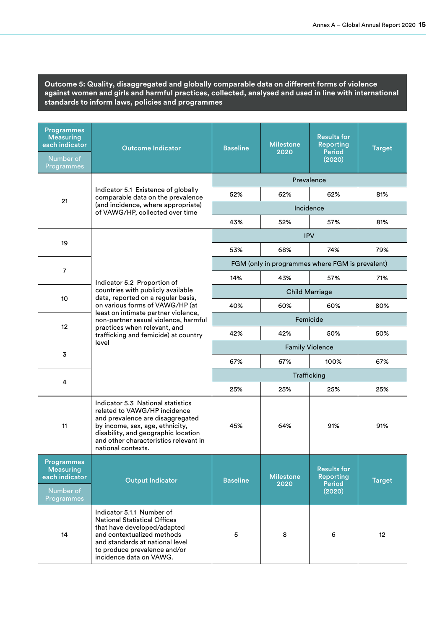**Outcome 5: Quality, disaggregated and globally comparable data on different forms of violence against women and girls and harmful practices, collected, analysed and used in line with international standards to inform laws, policies and programmes**

| <b>Programmes</b><br><b>Measuring</b><br>each indicator<br>Number of<br>Programmes | <b>Outcome Indicator</b>                                                                                                                                                                                                                       | <b>Baseline</b> | <b>Milestone</b><br>2020 | <b>Results for</b><br>Reporting<br><b>Period</b><br>(2020)        | <b>Target</b> |
|------------------------------------------------------------------------------------|------------------------------------------------------------------------------------------------------------------------------------------------------------------------------------------------------------------------------------------------|-----------------|--------------------------|-------------------------------------------------------------------|---------------|
|                                                                                    |                                                                                                                                                                                                                                                |                 |                          | Prevalence                                                        |               |
|                                                                                    | Indicator 5.1 Existence of globally<br>comparable data on the prevalence                                                                                                                                                                       | 52%             | 62%                      | 62%                                                               | 81%           |
| 21                                                                                 | (and incidence, where appropriate)<br>of VAWG/HP, collected over time                                                                                                                                                                          |                 |                          | Incidence                                                         |               |
|                                                                                    |                                                                                                                                                                                                                                                | 43%             | 52%                      | 57%                                                               | 81%           |
| 19                                                                                 |                                                                                                                                                                                                                                                |                 |                          | <b>IPV</b>                                                        |               |
|                                                                                    |                                                                                                                                                                                                                                                | 53%             | 68%                      | 74%                                                               | 79%           |
| $\overline{7}$                                                                     |                                                                                                                                                                                                                                                |                 |                          | FGM (only in programmes where FGM is prevalent)                   |               |
|                                                                                    | Indicator 5.2 Proportion of                                                                                                                                                                                                                    | 14%             | 43%                      | 57%                                                               | 71%           |
| 10                                                                                 | countries with publicly available<br>data, reported on a regular basis,                                                                                                                                                                        |                 | <b>Child Marriage</b>    |                                                                   |               |
|                                                                                    | on various forms of VAWG/HP (at<br>least on intimate partner violence,                                                                                                                                                                         | 40%             | 60%                      | 60%                                                               | 80%           |
| 12 <sup>2</sup>                                                                    | non-partner sexual violence, harmful                                                                                                                                                                                                           | Femicide        |                          |                                                                   |               |
|                                                                                    | practices when relevant, and<br>trafficking and femicide) at country                                                                                                                                                                           | 42%             | 42%                      | 50%                                                               | 50%           |
| 3                                                                                  | level                                                                                                                                                                                                                                          |                 |                          | <b>Family Violence</b>                                            |               |
|                                                                                    |                                                                                                                                                                                                                                                | 67%             | 67%                      | 100%                                                              | 67%           |
| 4                                                                                  |                                                                                                                                                                                                                                                |                 | Trafficking              |                                                                   |               |
|                                                                                    |                                                                                                                                                                                                                                                | 25%             | 25%                      | 25%                                                               | 25%           |
| 11                                                                                 | Indicator 5.3 National statistics<br>related to VAWG/HP incidence<br>and prevalence are disaggregated<br>by income, sex, age, ethnicity,<br>disability, and geographic location<br>and other characteristics relevant in<br>national contexts. | 45%             | 64%                      | 91%                                                               | 91%           |
| <b>Programmes</b><br><b>Measuring</b><br>each indicator<br>Number of<br>Programmes | <b>Output Indicator</b>                                                                                                                                                                                                                        | <b>Baseline</b> | <b>Milestone</b><br>2020 | <b>Results for</b><br><b>Reporting</b><br><b>Period</b><br>(2020) | <b>Target</b> |
| 14                                                                                 | Indicator 5.1.1 Number of<br><b>National Statistical Offices</b><br>that have developed/adapted<br>and contextualized methods<br>and standards at national level<br>to produce prevalence and/or<br>incidence data on VAWG.                    | 5               | 8                        | 6                                                                 | 12            |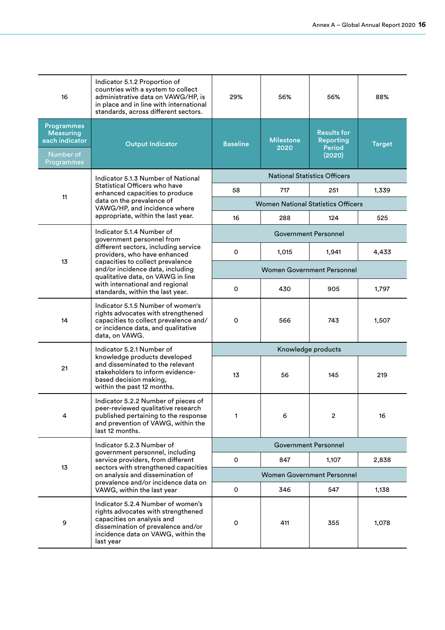| 16                                                                                 | Indicator 5.1.2 Proportion of<br>countries with a system to collect<br>administrative data on VAWG/HP, is<br>in place and in line with international<br>standards, across different sectors.   | 29%                               | 56%                               | 56%                                                               | 88%           |  |
|------------------------------------------------------------------------------------|------------------------------------------------------------------------------------------------------------------------------------------------------------------------------------------------|-----------------------------------|-----------------------------------|-------------------------------------------------------------------|---------------|--|
| <b>Programmes</b><br><b>Measuring</b><br>each indicator<br>Number of<br>Programmes | <b>Output Indicator</b>                                                                                                                                                                        | <b>Baseline</b>                   | <b>Milestone</b><br>2020          | <b>Results for</b><br><b>Reporting</b><br><b>Period</b><br>(2020) | <b>Target</b> |  |
|                                                                                    | Indicator 5.1.3 Number of National                                                                                                                                                             |                                   |                                   | <b>National Statistics Officers</b>                               |               |  |
| 11                                                                                 | Statistical Officers who have<br>enhanced capacities to produce                                                                                                                                | 58                                | 717                               | 251                                                               | 1,339         |  |
|                                                                                    | data on the prevalence of<br>VAWG/HP, and incidence where                                                                                                                                      |                                   |                                   | <b>Women National Statistics Officers</b>                         |               |  |
|                                                                                    | appropriate, within the last year.                                                                                                                                                             | 16                                | 288                               | 124                                                               | 525           |  |
|                                                                                    | Indicator 5.1.4 Number of<br>government personnel from                                                                                                                                         |                                   |                                   | Government Personnel                                              |               |  |
|                                                                                    | different sectors, including service<br>providers, who have enhanced                                                                                                                           | 0                                 | 1,015                             | 1,941                                                             | 4,433         |  |
| 13                                                                                 | capacities to collect prevalence<br>and/or incidence data, including<br>qualitative data, on VAWG in line                                                                                      |                                   | <b>Women Government Personnel</b> |                                                                   |               |  |
|                                                                                    | with international and regional<br>standards, within the last year.                                                                                                                            | 0                                 | 430                               | 905                                                               | 1,797         |  |
| 14                                                                                 | Indicator 5.1.5 Number of women's<br>rights advocates with strengthened<br>capacities to collect prevalence and/<br>or incidence data, and qualitative<br>data, on VAWG.                       | 0                                 | 566                               | 743                                                               | 1,507         |  |
|                                                                                    | Indicator 5.2.1 Number of                                                                                                                                                                      |                                   |                                   | Knowledge products                                                |               |  |
| 21                                                                                 | knowledge products developed<br>and disseminated to the relevant<br>stakeholders to inform evidence-<br>based decision making,<br>within the past 12 months.                                   | 13                                | 56                                | 145                                                               | 219           |  |
| 4                                                                                  | Indicator 5.2.2 Number of pieces of<br>peer-reviewed qualitative research<br>published pertaining to the response<br>and prevention of VAWG, within the<br>last 12 months.                     | 1                                 | 6                                 | $\mathbf{2}$                                                      | 16            |  |
|                                                                                    | Indicator 5.2.3 Number of                                                                                                                                                                      | <b>Government Personnel</b>       |                                   |                                                                   |               |  |
|                                                                                    | government personnel, including<br>service providers, from different                                                                                                                           | 0                                 | 847                               | 1,107                                                             | 2,838         |  |
| 13                                                                                 | sectors with strengthened capacities<br>on analysis and dissemination of                                                                                                                       | <b>Women Government Personnel</b> |                                   |                                                                   |               |  |
|                                                                                    | prevalence and/or incidence data on<br>VAWG, within the last year                                                                                                                              | 0                                 | 346                               | 547                                                               | 1,138         |  |
| 9                                                                                  | Indicator 5.2.4 Number of women's<br>rights advocates with strengthened<br>capacities on analysis and<br>dissemination of prevalence and/or<br>incidence data on VAWG, within the<br>last year | 0                                 | 411                               | 355                                                               | 1,078         |  |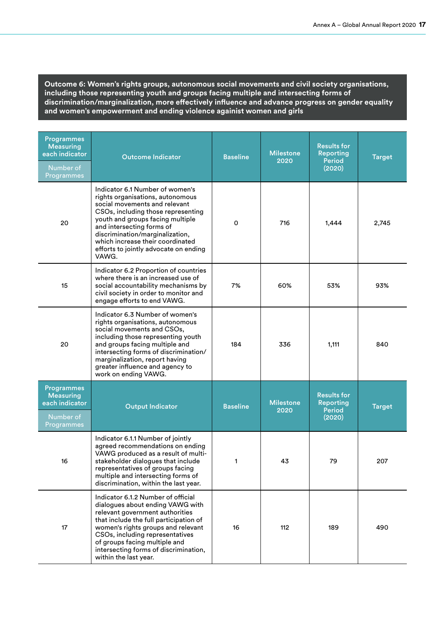**Outcome 6: Women's rights groups, autonomous social movements and civil society organisations, including those representing youth and groups facing multiple and intersecting forms of discrimination/marginalization, more effectively influence and advance progress on gender equality and women's empowerment and ending violence againist women and girls**

| <b>Programmes</b><br><b>Measuring</b><br>each indicator<br>Number of<br>Programmes | <b>Outcome Indicator</b>                                                                                                                                                                                                                                                                                                             | <b>Baseline</b>     | <b>Milestone</b><br>2020 | <b>Results for</b><br><b>Reporting</b><br><b>Period</b><br>(2020) | <b>Target</b> |
|------------------------------------------------------------------------------------|--------------------------------------------------------------------------------------------------------------------------------------------------------------------------------------------------------------------------------------------------------------------------------------------------------------------------------------|---------------------|--------------------------|-------------------------------------------------------------------|---------------|
| 20                                                                                 | Indicator 6.1 Number of women's<br>rights organisations, autonomous<br>social movements and relevant<br>CSOs, including those representing<br>youth and groups facing multiple<br>and intersecting forms of<br>discrimination/marginalization,<br>which increase their coordinated<br>efforts to jointly advocate on ending<br>VAWG. | $\mathsf{O}\xspace$ | 716                      | 1,444                                                             | 2,745         |
| 15                                                                                 | Indicator 6.2 Proportion of countries<br>where there is an increased use of<br>social accountability mechanisms by<br>civil society in order to monitor and<br>engage efforts to end VAWG.                                                                                                                                           | 7%                  | 60%                      | 53%                                                               | 93%           |
| 20                                                                                 | Indicator 6.3 Number of women's<br>rights organisations, autonomous<br>social movements and CSOs,<br>including those representing youth<br>and groups facing multiple and<br>intersecting forms of discrimination/<br>marginalization, report having<br>greater influence and agency to<br>work on ending VAWG.                      | 184                 | 336                      | 1,111                                                             | 840           |
| <b>Programmes</b><br><b>Measuring</b><br>each indicator<br>Number of<br>Programmes | <b>Output Indicator</b>                                                                                                                                                                                                                                                                                                              | <b>Baseline</b>     | <b>Milestone</b><br>2020 | <b>Results for</b><br>Reporting<br><b>Period</b><br>(2020)        | <b>Target</b> |
| 16                                                                                 | Indicator 6.1.1 Number of jointly<br>agreed recommendations on ending<br>VAWG produced as a result of multi-<br>stakeholder dialogues that include<br>representatives of groups facing<br>multiple and intersecting forms of<br>discrimination, within the last year.                                                                | 1                   | 43                       | 79                                                                | 207           |
| 17                                                                                 | Indicator 6.1.2 Number of official<br>dialogues about ending VAWG with<br>relevant government authorities<br>that include the full participation of<br>women's rights groups and relevant<br>CSOs, including representatives<br>of groups facing multiple and<br>intersecting forms of discrimination,<br>within the last year.      | 16                  | 112                      | 189                                                               | 490           |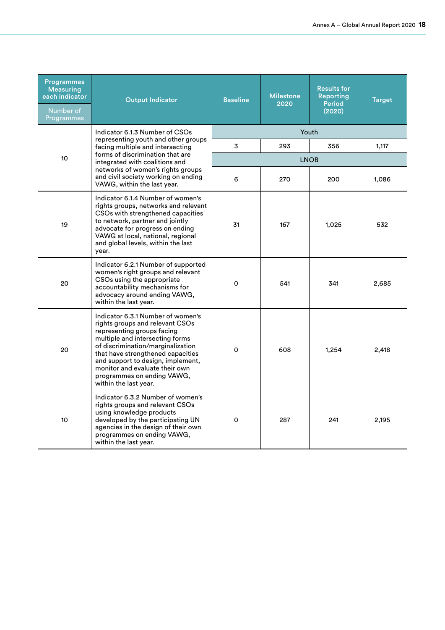| <b>Programmes</b><br><b>Measuring</b><br>each indicator<br>Number of<br>Programmes | <b>Output Indicator</b>                                                                                                                                                                                                                                                                                                                       | <b>Baseline</b> | <b>Milestone</b><br>2020 | <b>Results for</b><br>Reporting<br><b>Period</b><br>(2020) | <b>Target</b> |  |
|------------------------------------------------------------------------------------|-----------------------------------------------------------------------------------------------------------------------------------------------------------------------------------------------------------------------------------------------------------------------------------------------------------------------------------------------|-----------------|--------------------------|------------------------------------------------------------|---------------|--|
|                                                                                    | Indicator 6.1.3 Number of CSOs<br>representing youth and other groups                                                                                                                                                                                                                                                                         |                 |                          | Youth                                                      |               |  |
|                                                                                    | facing multiple and intersecting<br>forms of discrimination that are                                                                                                                                                                                                                                                                          | 3               | 293                      | 356                                                        | 1,117         |  |
| 10                                                                                 | integrated with coalitions and                                                                                                                                                                                                                                                                                                                | <b>LNOB</b>     |                          |                                                            |               |  |
|                                                                                    | networks of women's rights groups<br>and civil society working on ending<br>VAWG, within the last year.                                                                                                                                                                                                                                       | 6               | 270                      | 200                                                        | 1,086         |  |
| 19                                                                                 | Indicator 6.1.4 Number of women's<br>rights groups, networks and relevant<br>CSOs with strengthened capacities<br>to network, partner and jointly<br>advocate for progress on ending<br>VAWG at local, national, regional<br>and global levels, within the last<br>year.                                                                      | 31              | 167                      | 1,025                                                      | 532           |  |
| 20                                                                                 | Indicator 6.2.1 Number of supported<br>women's right groups and relevant<br>CSOs using the appropriate<br>accountability mechanisms for<br>advocacy around ending VAWG,<br>within the last year.                                                                                                                                              | 0               | 541                      | 341                                                        | 2,685         |  |
| 20                                                                                 | Indicator 6.3.1 Number of women's<br>rights groups and relevant CSOs<br>representing groups facing<br>multiple and intersecting forms<br>of discrimination/marginalization<br>that have strengthened capacities<br>and support to design, implement,<br>monitor and evaluate their own<br>programmes on ending VAWG,<br>within the last year. | $\Omega$        | 608                      | 1,254                                                      | 2,418         |  |
| 10                                                                                 | Indicator 6.3.2 Number of women's<br>rights groups and relevant CSOs<br>using knowledge products<br>developed by the participating UN<br>agencies in the design of their own<br>programmes on ending VAWG,<br>within the last year.                                                                                                           | 0               | 287                      | 241                                                        | 2,195         |  |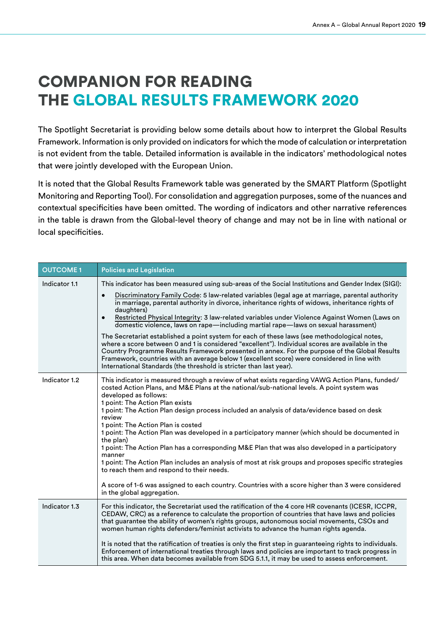### COMPANION FOR READING THE GLOBAL RESULTS FRAMEWORK 2020

The Spotlight Secretariat is providing below some details about how to interpret the Global Results Framework. Information is only provided on indicators for which the mode of calculation or interpretation is not evident from the table. Detailed information is available in the indicators' methodological notes that were jointly developed with the European Union.

It is noted that the Global Results Framework table was generated by the SMART Platform (Spotlight Monitoring and Reporting Tool). For consolidation and aggregation purposes, some of the nuances and contextual specificities have been omitted. The wording of indicators and other narrative references in the table is drawn from the Global-level theory of change and may not be in line with national or local specificities.

| <b>OUTCOME1</b> | <b>Policies and Legislation</b>                                                                                                                                                                                                                                                                                                                                                                                                                                                                                                                                                                                                                                                                                                                                                                                                                                                                                                                                                                                   |
|-----------------|-------------------------------------------------------------------------------------------------------------------------------------------------------------------------------------------------------------------------------------------------------------------------------------------------------------------------------------------------------------------------------------------------------------------------------------------------------------------------------------------------------------------------------------------------------------------------------------------------------------------------------------------------------------------------------------------------------------------------------------------------------------------------------------------------------------------------------------------------------------------------------------------------------------------------------------------------------------------------------------------------------------------|
| Indicator 1.1   | This indicator has been measured using sub-areas of the Social Institutions and Gender Index (SIGI):<br>Discriminatory Family Code: 5 law-related variables (legal age at marriage, parental authority<br>$\bullet$<br>in marriage, parental authority in divorce, inheritance rights of widows, inheritance rights of<br>daughters)<br>Restricted Physical Integrity: 3 law-related variables under Violence Against Women (Laws on<br>$\bullet$<br>domestic violence, laws on rape—including martial rape—laws on sexual harassment)<br>The Secretariat established a point system for each of these laws (see methodological notes,<br>where a score between 0 and 1 is considered "excellent"). Individual scores are available in the<br>Country Programme Results Framework presented in annex. For the purpose of the Global Results<br>Framework, countries with an average below 1 (excellent score) were considered in line with<br>International Standards (the threshold is stricter than last year). |
| Indicator 1.2   | This indicator is measured through a review of what exists regarding VAWG Action Plans, funded/<br>costed Action Plans, and M&E Plans at the national/sub-national levels. A point system was<br>developed as follows:<br>1 point: The Action Plan exists<br>1 point: The Action Plan design process included an analysis of data/evidence based on desk<br>review<br>1 point: The Action Plan is costed<br>1 point: The Action Plan was developed in a participatory manner (which should be documented in<br>the plan)<br>1 point: The Action Plan has a corresponding M&E Plan that was also developed in a participatory<br>manner<br>1 point: The Action Plan includes an analysis of most at risk groups and proposes specific strategies<br>to reach them and respond to their needs.<br>A score of 1-6 was assigned to each country. Countries with a score higher than 3 were considered<br>in the global aggregation.                                                                                   |
| Indicator 1.3   | For this indicator, the Secretariat used the ratification of the 4 core HR covenants (ICESR, ICCPR,<br>CEDAW, CRC) as a reference to calculate the proportion of countries that have laws and policies<br>that guarantee the ability of women's rights groups, autonomous social movements, CSOs and<br>women human rights defenders/feminist activists to advance the human rights agenda.<br>It is noted that the ratification of treaties is only the first step in guaranteeing rights to individuals.<br>Enforcement of international treaties through laws and policies are important to track progress in<br>this area. When data becomes available from SDG 5.1.1, it may be used to assess enforcement.                                                                                                                                                                                                                                                                                                  |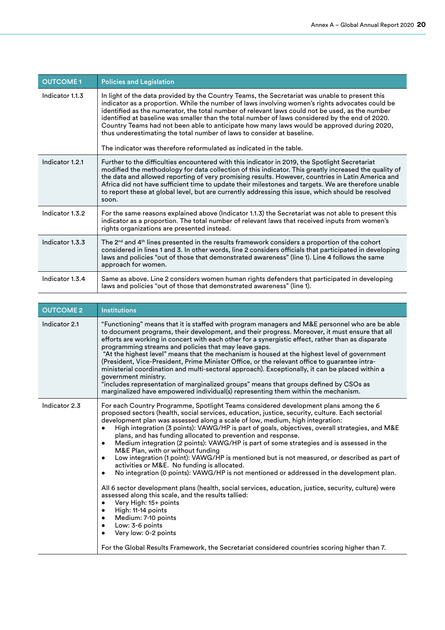| <b>OUTCOME1</b> | <b>Policies and Legislation</b>                                                                                                                                                                                                                                                                                                                                                                                                                                                                                                                                                                                                                        |
|-----------------|--------------------------------------------------------------------------------------------------------------------------------------------------------------------------------------------------------------------------------------------------------------------------------------------------------------------------------------------------------------------------------------------------------------------------------------------------------------------------------------------------------------------------------------------------------------------------------------------------------------------------------------------------------|
| Indicator 1.1.3 | In light of the data provided by the Country Teams, the Secretariat was unable to present this<br>indicator as a proportion. While the number of laws involving women's rights advocates could be<br>identified as the numerator, the total number of relevant laws could not be used, as the number<br>identified at baseline was smaller than the total number of laws considered by the end of 2020.<br>Country Teams had not been able to anticipate how many laws would be approved during 2020,<br>thus underestimating the total number of laws to consider at baseline.<br>The indicator was therefore reformulated as indicated in the table. |
| Indicator 1.2.1 | Further to the difficulties encountered with this indicator in 2019, the Spotlight Secretariat<br>modified the methodology for data collection of this indicator. This greatly increased the quality of<br>the data and allowed reporting of very promising results. However, countries in Latin America and<br>Africa did not have sufficient time to update their milestones and targets. We are therefore unable<br>to report these at global level, but are currently addressing this issue, which should be resolved<br>soon.                                                                                                                     |
| Indicator 1.3.2 | For the same reasons explained above (Indicator 1.1.3) the Secretariat was not able to present this<br>indicator as a proportion. The total number of relevant laws that received inputs from women's<br>rights organizations are presented instead.                                                                                                                                                                                                                                                                                                                                                                                                   |
| Indicator 1.3.3 | The $2nd$ and $4th$ lines presented in the results framework considers a proportion of the cohort<br>considered in lines 1 and 3. In other words, line 2 considers officials that participated in developing<br>laws and policies "out of those that demonstrated awareness" (line 1). Line 4 follows the same<br>approach for women.                                                                                                                                                                                                                                                                                                                  |
| Indicator 1.3.4 | Same as above. Line 2 considers women human rights defenders that participated in developing<br>laws and policies "out of those that demonstrated awareness" (line 1).                                                                                                                                                                                                                                                                                                                                                                                                                                                                                 |

| <b>OUTCOME 2</b> | <b>Institutions</b>                                                                                                                                                                                                                                                                                                                                                                                                                                                                                                                                                                                                                                                                                                                                                                                                                                                                                                                                                                                                                                                                                                                                                                                                                                                                     |
|------------------|-----------------------------------------------------------------------------------------------------------------------------------------------------------------------------------------------------------------------------------------------------------------------------------------------------------------------------------------------------------------------------------------------------------------------------------------------------------------------------------------------------------------------------------------------------------------------------------------------------------------------------------------------------------------------------------------------------------------------------------------------------------------------------------------------------------------------------------------------------------------------------------------------------------------------------------------------------------------------------------------------------------------------------------------------------------------------------------------------------------------------------------------------------------------------------------------------------------------------------------------------------------------------------------------|
| Indicator 2.1    | "Functioning" means that it is staffed with program managers and M&E personnel who are be able<br>to document programs, their development, and their progress. Moreover, it must ensure that all<br>efforts are working in concert with each other for a synergistic effect, rather than as disparate<br>programming streams and policies that may leave gaps.<br>"At the highest level" means that the mechanism is housed at the highest level of government<br>(President, Vice-President, Prime Minister Office, or the relevant office to guarantee intra-<br>ministerial coordination and multi-sectoral approach). Exceptionally, it can be placed within a<br>government ministry.<br>"includes representation of marginalized groups" means that groups defined by CSOs as<br>marginalized have empowered individual(s) representing them within the mechanism.                                                                                                                                                                                                                                                                                                                                                                                                                |
| Indicator 2.3    | For each Country Programme, Spotlight Teams considered development plans among the 6<br>proposed sectors (health, social services, education, justice, security, culture. Each sectorial<br>development plan was assessed along a scale of low, medium, high integration:<br>High integration (3 points): VAWG/HP is part of goals, objectives, overall strategies, and M&E<br>plans, and has funding allocated to prevention and response.<br>Medium integration (2 points): VAWG/HP is part of some strategies and is assessed in the<br>$\bullet$<br>M&E Plan, with or without funding<br>Low integration (1 point): VAWG/HP is mentioned but is not measured, or described as part of<br>$\bullet$<br>activities or M&E. No funding is allocated.<br>No integration (0 points): VAWG/HP is not mentioned or addressed in the development plan.<br>$\bullet$<br>All 6 sector development plans (health, social services, education, justice, security, culture) were<br>assessed along this scale, and the results tallied:<br>Very High: 15+ points<br>High: 11-14 points<br>Medium: 7-10 points<br>$\bullet$<br>Low: 3-6 points<br>$\bullet$<br>Very low: 0-2 points<br>$\bullet$<br>For the Global Results Framework, the Secretariat considered countries scoring higher than 7. |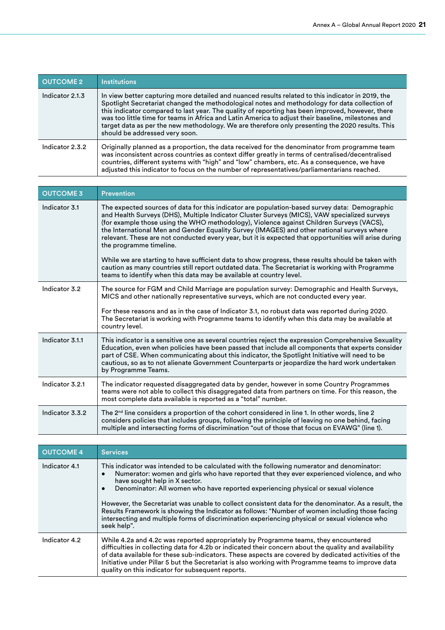| <b>OUTCOME 2</b> | <b>Institutions</b>                                                                                                                                                                                                                                                                                                                                                                                                                                                                                                                               |
|------------------|---------------------------------------------------------------------------------------------------------------------------------------------------------------------------------------------------------------------------------------------------------------------------------------------------------------------------------------------------------------------------------------------------------------------------------------------------------------------------------------------------------------------------------------------------|
| Indicator 2.1.3  | In view better capturing more detailed and nuanced results related to this indicator in 2019, the<br>Spotlight Secretariat changed the methodological notes and methodology for data collection of<br>this indicator compared to last year. The quality of reporting has been improved, however, there<br>was too little time for teams in Africa and Latin America to adjust their baseline, milestones and<br>target data as per the new methodology. We are therefore only presenting the 2020 results. This<br>should be addressed very soon. |
| Indicator 2.3.2  | Originally planned as a proportion, the data received for the denominator from programme team<br>was inconsistent across countries as context differ greatly in terms of centralised/decentralised<br>countries, different systems with "high" and "low" chambers, etc. As a consequence, we have<br>adjusted this indicator to focus on the number of representatives/parliamentarians reached.                                                                                                                                                  |

| <b>OUTCOME 3</b> | <b>Prevention</b>                                                                                                                                                                                                                                                                                                                                                                                                                                                                                                                                                                                                                                                                                                                                                                                           |
|------------------|-------------------------------------------------------------------------------------------------------------------------------------------------------------------------------------------------------------------------------------------------------------------------------------------------------------------------------------------------------------------------------------------------------------------------------------------------------------------------------------------------------------------------------------------------------------------------------------------------------------------------------------------------------------------------------------------------------------------------------------------------------------------------------------------------------------|
| Indicator 3.1    | The expected sources of data for this indicator are population-based survey data: Demographic<br>and Health Surveys (DHS), Multiple Indicator Cluster Surveys (MICS), VAW specialized surveys<br>(for example those using the WHO methodology), Violence against Children Surveys (VACS),<br>the International Men and Gender Equality Survey (IMAGES) and other national surveys where<br>relevant. These are not conducted every year, but it is expected that opportunities will arise during<br>the programme timeline.<br>While we are starting to have sufficient data to show progress, these results should be taken with<br>caution as many countries still report outdated data. The Secretariat is working with Programme<br>teams to identify when this data may be available at country level. |
| Indicator 3.2    | The source for FGM and Child Marriage are population survey: Demographic and Health Surveys,<br>MICS and other nationally representative surveys, which are not conducted every year.                                                                                                                                                                                                                                                                                                                                                                                                                                                                                                                                                                                                                       |
|                  | For these reasons and as in the case of Indicator 3.1, no robust data was reported during 2020.<br>The Secretariat is working with Programme teams to identify when this data may be available at<br>country level.                                                                                                                                                                                                                                                                                                                                                                                                                                                                                                                                                                                         |
| Indicator 3.1.1  | This indicator is a sensitive one as several countries reject the expression Comprehensive Sexuality<br>Education, even when policies have been passed that include all components that experts consider<br>part of CSE. When communicating about this indicator, the Spotlight Initiative will need to be<br>cautious, so as to not alienate Government Counterparts or jeopardize the hard work undertaken<br>by Programme Teams.                                                                                                                                                                                                                                                                                                                                                                         |
| Indicator 3.2.1  | The indicator requested disaggregated data by gender, however in some Country Programmes<br>teams were not able to collect this disaggregated data from partners on time. For this reason, the<br>most complete data available is reported as a "total" number.                                                                                                                                                                                                                                                                                                                                                                                                                                                                                                                                             |
| Indicator 3.3.2  | The $2^{nd}$ line considers a proportion of the cohort considered in line 1. In other words, line 2<br>considers policies that includes groups, following the principle of leaving no one behind, facing<br>multiple and intersecting forms of discrimination "out of those that focus on EVAWG" (line 1).                                                                                                                                                                                                                                                                                                                                                                                                                                                                                                  |

| <b>OUTCOME 4</b> | <b>Services</b>                                                                                                                                                                                                                                                                                                                                                                                                                                                                                                                                                                                                                          |
|------------------|------------------------------------------------------------------------------------------------------------------------------------------------------------------------------------------------------------------------------------------------------------------------------------------------------------------------------------------------------------------------------------------------------------------------------------------------------------------------------------------------------------------------------------------------------------------------------------------------------------------------------------------|
| Indicator 4.1    | This indicator was intended to be calculated with the following numerator and denominator:<br>Numerator: women and girls who have reported that they ever experienced violence, and who<br>have sought help in X sector.<br>Denominator: All women who have reported experiencing physical or sexual violence<br>However, the Secretariat was unable to collect consistent data for the denominator. As a result, the<br>Results Framework is showing the Indicator as follows: "Number of women including those facing<br>intersecting and multiple forms of discrimination experiencing physical or sexual violence who<br>seek help". |
| Indicator 4.2    | While 4.2a and 4.2c was reported appropriately by Programme teams, they encountered<br>difficulties in collecting data for 4.2b or indicated their concern about the quality and availability<br>of data available for these sub-indicators. These aspects are covered by dedicated activities of the<br>Initiative under Pillar 5 but the Secretariat is also working with Programme teams to improve data<br>quality on this indicator for subsequent reports.                                                                                                                                                                         |